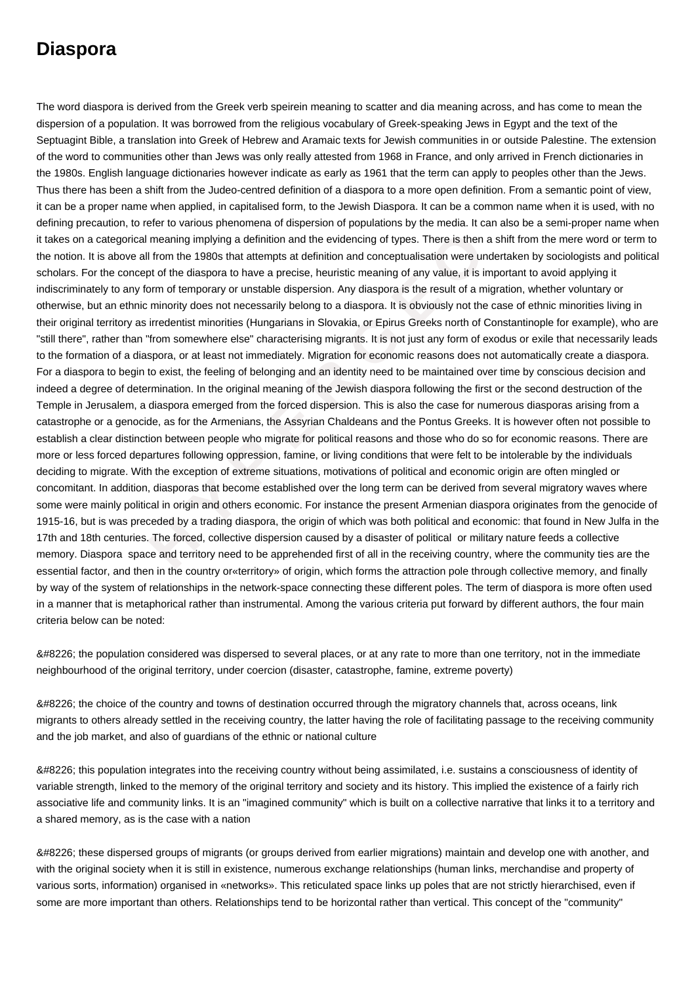## **Diaspora**

gorical meaning implying a definition and the evidencing of types. There is then a shove all from the 1980s that attempts at definition and conceptualisation were under concept of the diaspora to have a precise, heuristic The word diaspora is derived from the Greek verb speirein meaning to scatter and dia meaning across, and has come to mean the dispersion of a population. It was borrowed from the religious vocabulary of Greek-speaking Jews in Egypt and the text of the Septuagint Bible, a translation into Greek of Hebrew and Aramaic texts for Jewish communities in or outside Palestine. The extension of the word to communities other than Jews was only really attested from 1968 in France, and only arrived in French dictionaries in the 1980s. English language dictionaries however indicate as early as 1961 that the term can apply to peoples other than the Jews. Thus there has been a shift from the Judeo-centred definition of a diaspora to a more open definition. From a semantic point of view, it can be a proper name when applied, in capitalised form, to the Jewish Diaspora. It can be a common name when it is used, with no defining precaution, to refer to various phenomena of dispersion of populations by the media. It can also be a semi-proper name when it takes on a categorical meaning implying a definition and the evidencing of types. There is then a shift from the mere word or term to the notion. It is above all from the 1980s that attempts at definition and conceptualisation were undertaken by sociologists and political scholars. For the concept of the diaspora to have a precise, heuristic meaning of any value, it is important to avoid applying it indiscriminately to any form of temporary or unstable dispersion. Any diaspora is the result of a migration, whether voluntary or otherwise, but an ethnic minority does not necessarily belong to a diaspora. It is obviously not the case of ethnic minorities living in their original territory as irredentist minorities (Hungarians in Slovakia, or Epirus Greeks north of Constantinople for example), who are "still there", rather than "from somewhere else" characterising migrants. It is not just any form of exodus or exile that necessarily leads to the formation of a diaspora, or at least not immediately. Migration for economic reasons does not automatically create a diaspora. For a diaspora to begin to exist, the feeling of belonging and an identity need to be maintained over time by conscious decision and indeed a degree of determination. In the original meaning of the Jewish diaspora following the first or the second destruction of the Temple in Jerusalem, a diaspora emerged from the forced dispersion. This is also the case for numerous diasporas arising from a catastrophe or a genocide, as for the Armenians, the Assyrian Chaldeans and the Pontus Greeks. It is however often not possible to establish a clear distinction between people who migrate for political reasons and those who do so for economic reasons. There are more or less forced departures following oppression, famine, or living conditions that were felt to be intolerable by the individuals deciding to migrate. With the exception of extreme situations, motivations of political and economic origin are often mingled or concomitant. In addition, diasporas that become established over the long term can be derived from several migratory waves where some were mainly political in origin and others economic. For instance the present Armenian diaspora originates from the genocide of 1915-16, but is was preceded by a trading diaspora, the origin of which was both political and economic: that found in New Julfa in the 17th and 18th centuries. The forced, collective dispersion caused by a disaster of political or military nature feeds a collective memory. Diaspora space and territory need to be apprehended first of all in the receiving country, where the community ties are the essential factor, and then in the country or «territory» of origin, which forms the attraction pole through collective memory, and finally by way of the system of relationships in the network-space connecting these different poles. The term of diaspora is more often used in a manner that is metaphorical rather than instrumental. Among the various criteria put forward by different authors, the four main criteria below can be noted:

• the population considered was dispersed to several places, or at any rate to more than one territory, not in the immediate neighbourhood of the original territory, under coercion (disaster, catastrophe, famine, extreme poverty)

• the choice of the country and towns of destination occurred through the migratory channels that, across oceans, link migrants to others already settled in the receiving country, the latter having the role of facilitating passage to the receiving community and the job market, and also of guardians of the ethnic or national culture

• this population integrates into the receiving country without being assimilated, i.e. sustains a consciousness of identity of variable strength, linked to the memory of the original territory and society and its history. This implied the existence of a fairly rich associative life and community links. It is an "imagined community" which is built on a collective narrative that links it to a territory and a shared memory, as is the case with a nation

• these dispersed groups of migrants (or groups derived from earlier migrations) maintain and develop one with another, and with the original society when it is still in existence, numerous exchange relationships (human links, merchandise and property of various sorts, information) organised in «networks». This reticulated space links up poles that are not strictly hierarchised, even if some are more important than others. Relationships tend to be horizontal rather than vertical. This concept of the "community"